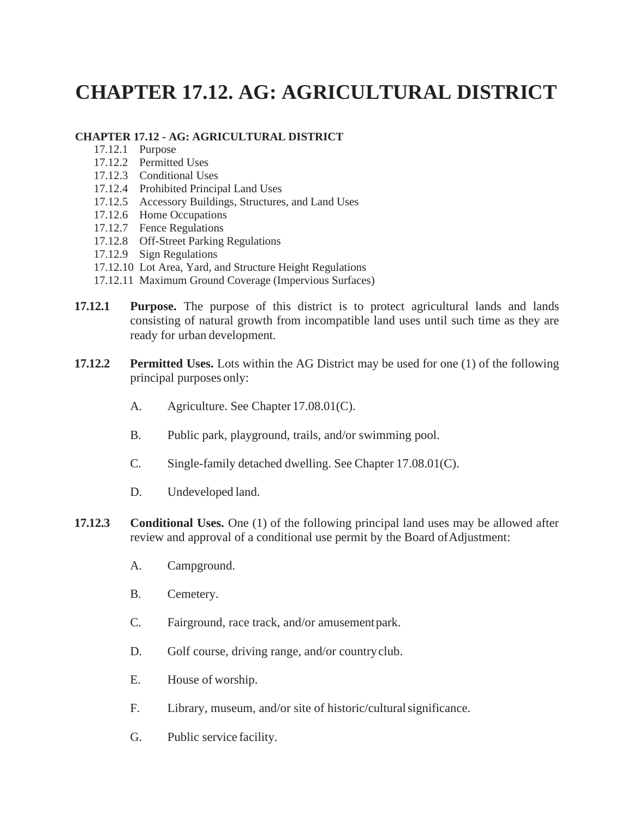## **CHAPTER 17.12. AG: AGRICULTURAL DISTRICT**

## **CHAPTER 17.12 - AG: AGRICULTURAL DISTRICT**

- 17.12.1 Purpose
- 17.12.2 Permitted Uses
- 17.12.3 Conditional Uses
- 17.12.4 Prohibited Principal Land Uses
- 17.12.5 Accessory Buildings, Structures, and Land Uses
- 17.12.6 Home Occupations
- 17.12.7 Fence Regulations
- 17.12.8 Off-Street Parking Regulations
- 17.12.9 Sign Regulations
- 17.12.10 Lot Area, Yard, and Structure Height Regulations
- 17.12.11 Maximum Ground Coverage (Impervious Surfaces)
- **17.12.1 Purpose.** The purpose of this district is to protect agricultural lands and lands consisting of natural growth from incompatible land uses until such time as they are ready for urban development.
- **17.12.2 Permitted Uses.** Lots within the AG District may be used for one (1) of the following principal purposes only:
	- A. Agriculture. See Chapter 17.08.01(C).
	- B. Public park, playground, trails, and/or swimming pool.
	- C. Single-family detached dwelling. See Chapter 17.08.01(C).
	- D. Undeveloped land.
- **17.12.3 Conditional Uses.** One (1) of the following principal land uses may be allowed after review and approval of a conditional use permit by the Board of Adjustment:
	- A. Campground.
	- B. Cemetery.
	- C. Fairground, race track, and/or amusementpark.
	- D. Golf course, driving range, and/or country club.
	- E. House of worship.
	- F. Library, museum, and/or site of historic/culturalsignificance.
	- G. Public service facility.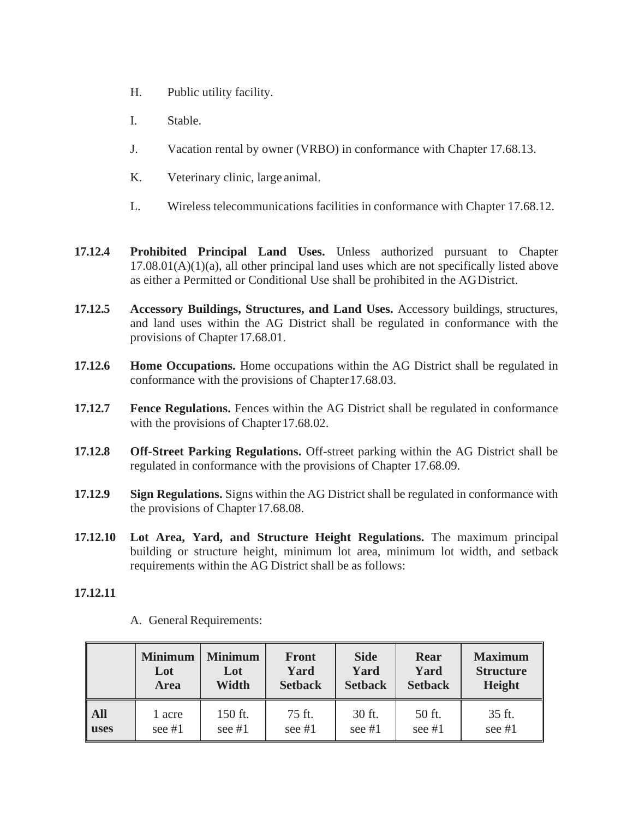- H. Public utility facility.
- I. Stable.
- J. Vacation rental by owner (VRBO) in conformance with Chapter 17.68.13.
- K. Veterinary clinic, large animal.
- L. Wireless telecommunications facilities in conformance with Chapter 17.68.12.
- **17.12.4 Prohibited Principal Land Uses.** Unless authorized pursuant to Chapter  $17.08.01(A)(1)(a)$ , all other principal land uses which are not specifically listed above as either a Permitted or Conditional Use shall be prohibited in the AGDistrict.
- **17.12.5 Accessory Buildings, Structures, and Land Uses.** Accessory buildings, structures, and land uses within the AG District shall be regulated in conformance with the provisions of Chapter 17.68.01.
- **17.12.6 Home Occupations.** Home occupations within the AG District shall be regulated in conformance with the provisions of Chapter17.68.03.
- **17.12.7 Fence Regulations.** Fences within the AG District shall be regulated in conformance with the provisions of Chapter 17.68.02.
- **17.12.8 Off-Street Parking Regulations.** Off-street parking within the AG District shall be regulated in conformance with the provisions of Chapter 17.68.09.
- **17.12.9 Sign Regulations.** Signs within the AG District shall be regulated in conformance with the provisions of Chapter 17.68.08.
- **17.12.10 Lot Area, Yard, and Structure Height Regulations.** The maximum principal building or structure height, minimum lot area, minimum lot width, and setback requirements within the AG District shall be as follows:

## **17.12.11**

|             | <b>Minimum</b> | <b>Minimum</b> | <b>Front</b>   | <b>Side</b>    | Rear           | <b>Maximum</b>   |
|-------------|----------------|----------------|----------------|----------------|----------------|------------------|
|             | Lot            | Lot            | Yard           | Yard           | Yard           | <b>Structure</b> |
|             | <b>Area</b>    | Width          | <b>Setback</b> | <b>Setback</b> | <b>Setback</b> | Height           |
| All         | 1 acre         | 150 ft.        | 75 ft.         | 30 ft.         | 50 ft.         | 35 ft.           |
| <b>uses</b> | see $#1$       | see $#1$       | see $#1$       | see $#1$       | see $#1$       | see #1           |

A. General Requirements: